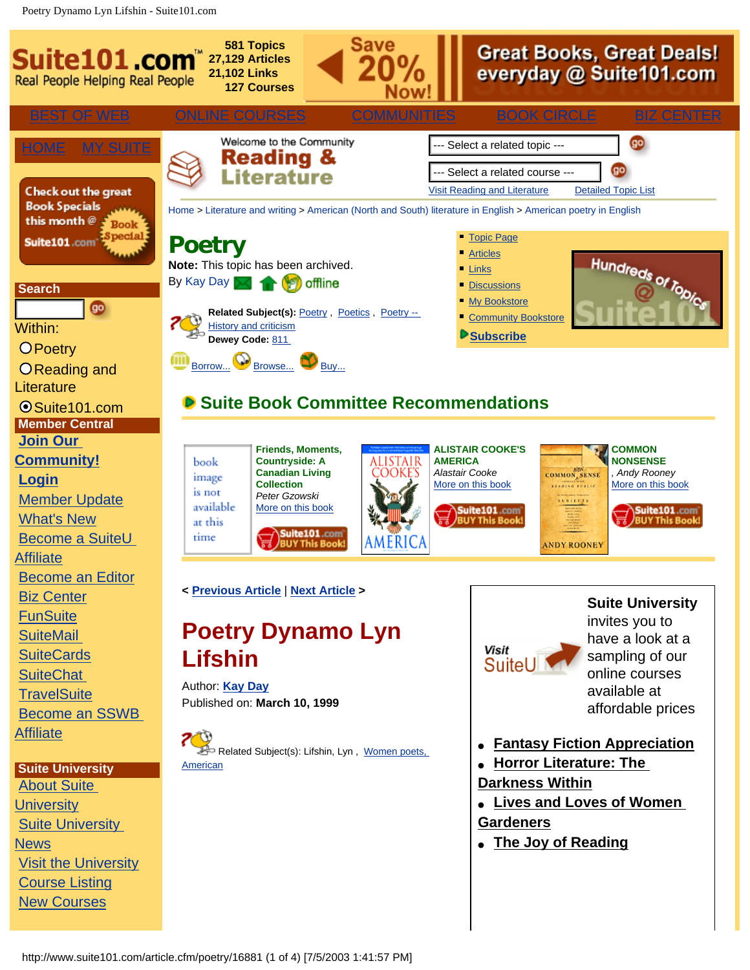Poetry Dynamo Lyn Lifshin - Suite101.com

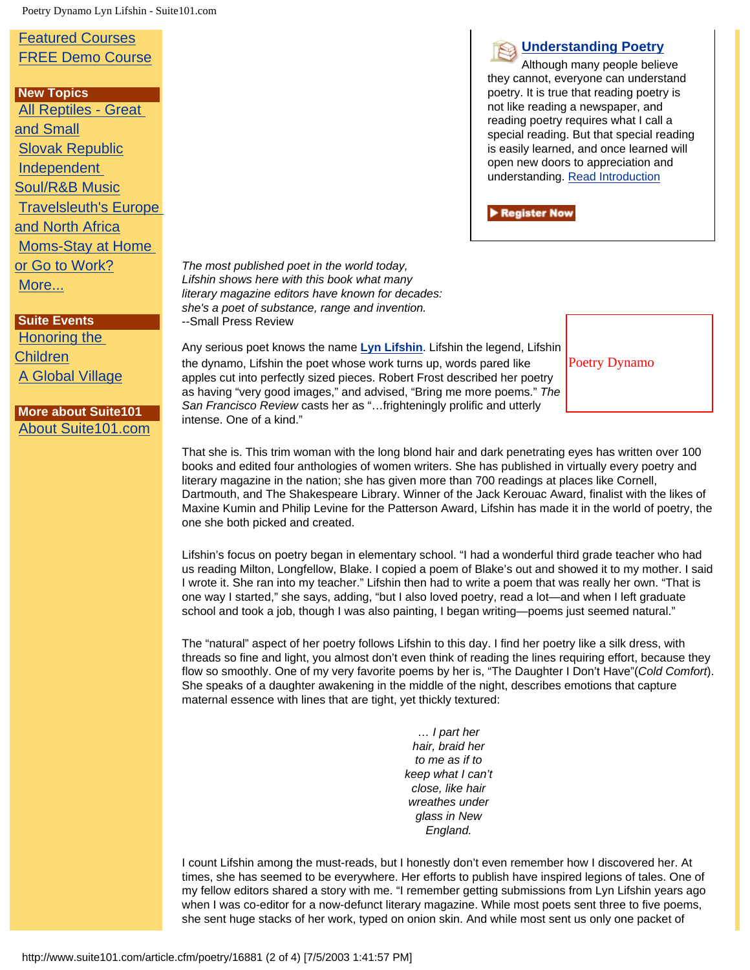Poetry Dynamo Lyn Lifshin - Suite101.com

## [Featured Courses](http://www.suite101.com/suiteu/featured_courses.cfm) [FREE Demo Course](http://www.suite101.com/course.cfm/18108/seminar)

 **New Topics** [All Reptiles - Great](http://www.suite101.com/welcome.cfm/reptiles_great_small) [and Small](http://www.suite101.com/welcome.cfm/reptiles_great_small) [Slovak Republic](http://www.suite101.com/welcome.cfm/slovak_republic) [Independent](http://www.suite101.com/welcome.cfm/indie_soul_rb)  [Soul/R&B Music](http://www.suite101.com/welcome.cfm/indie_soul_rb) [Travelsleuth's Europe](http://www.suite101.com/welcome.cfm/europe_north_africa) [and North Africa](http://www.suite101.com/welcome.cfm/europe_north_africa) [Moms-Stay at Home](http://www.suite101.com/welcome.cfm/moms_stay_home_go_work)  [or Go to Work?](http://www.suite101.com/welcome.cfm/moms_stay_home_go_work) [More...](http://www.suite101.com/topic/new_topics.cfm)

## **Suite Events** [Honoring the](http://www.suite101.com/event.cfm/245) [Children](http://www.suite101.com/event.cfm/245)

[A Global Village](http://www.suite101.com/event.cfm/242)

## **More about Suite101** [About Suite101.com](http://www.suite101.com/info.cfm/CP2001_Main)

*The most published poet in the world today, Lifshin shows here with this book what many literary magazine editors have known for decades: she's a poet of substance, range and invention.* --Small Press Review

Any serious poet knows the name **[Lyn Lifshin](http://lynlifshin.com/)**. Lifshin the legend, Lifshin the dynamo, Lifshin the poet whose work turns up, words pared like apples cut into perfectly sized pieces. Robert Frost described her poetry as having "very good images," and advised, "Bring me more poems." *The San Francisco Review* casts her as "…frighteningly prolific and utterly intense. One of a kind."



**[Understanding Poetry](http://www.suite101.com/course.cfm/16948)** Although many people believe they cannot, everyone can understand poetry. It is true that reading poetry is not like reading a newspaper, and reading poetry requires what I call a special reading. But that special reading is easily learned, and once learned will open new doors to appreciation and understanding. [Read Introduction](http://www.suite101.com/course.cfm/16948/seminar)

Register Now

That she is. This trim woman with the long blond hair and dark penetrating eyes has written over 100 books and edited four anthologies of women writers. She has published in virtually every poetry and literary magazine in the nation; she has given more than 700 readings at places like Cornell, Dartmouth, and The Shakespeare Library. Winner of the Jack Kerouac Award, finalist with the likes of Maxine Kumin and Philip Levine for the Patterson Award, Lifshin has made it in the world of poetry, the one she both picked and created.

Lifshin's focus on poetry began in elementary school. "I had a wonderful third grade teacher who had us reading Milton, Longfellow, Blake. I copied a poem of Blake's out and showed it to my mother. I said I wrote it. She ran into my teacher." Lifshin then had to write a poem that was really her own. "That is one way I started," she says, adding, "but I also loved poetry, read a lot—and when I left graduate school and took a job, though I was also painting, I began writing—poems just seemed natural."

The "natural" aspect of her poetry follows Lifshin to this day. I find her poetry like a silk dress, with threads so fine and light, you almost don't even think of reading the lines requiring effort, because they flow so smoothly. One of my very favorite poems by her is, "The Daughter I Don't Have"(*Cold Comfort*). She speaks of a daughter awakening in the middle of the night, describes emotions that capture maternal essence with lines that are tight, yet thickly textured:

> *… I part her hair, braid her to me as if to keep what I can't close, like hair wreathes under glass in New England.*

I count Lifshin among the must-reads, but I honestly don't even remember how I discovered her. At times, she has seemed to be everywhere. Her efforts to publish have inspired legions of tales. One of my fellow editors shared a story with me. "I remember getting submissions from Lyn Lifshin years ago when I was co-editor for a now-defunct literary magazine. While most poets sent three to five poems, she sent huge stacks of her work, typed on onion skin. And while most sent us only one packet of